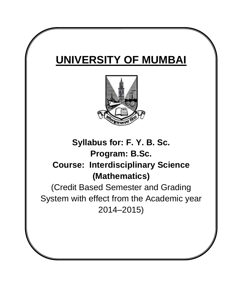# **UNIVERSITY OF MUMBAI**



## **Syllabus for: F. Y. B. Sc. Program: B.Sc. Course: Interdisciplinary Science (Mathematics)**

(Credit Based Semester and Grading System with effect from the Academic year 2014–2015)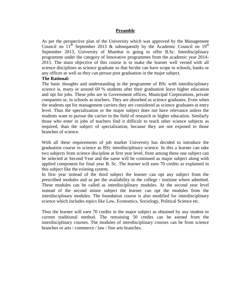#### **Preamble**

As per the perspective plan of the University which was approved by the Management Council on  $11<sup>th</sup>$  September 2013 & subsequently by the Academic Council on  $19<sup>th</sup>$ September 2013, University of Mumbai is going to offer B.Sc. Interdisciplinary programme under the category of Innovative programmes from the academic year 2014- 2015. The main objective of this course is to make the learner well versed with all science disciplines as science graduate so that he/she can have scope in schools, banks or any offices as well as they can persue post graduation in the major subject.

#### **The Rational:**

The basic thoughts and understanding in the programme of BSc with interdisciplinary science is, many or around 60 % students after their graduation leave higher education and opt for jobs. These jobs are in Government offices, Municipal Corporations, private companies or, in schools as teachers. They are absorbed as science graduates. Even when the students opt for management carriers they are considered as science graduates at entry level. Thus the specialization or the major subject does not have relevance unless the students want to pursue the carrier in the field of research or higher education. Similarly those who enter in jobs of teachers find it difficult to teach other science subjects as required, than the subject of specialization, because they are not exposed to those branches of science.

With all these requirements of job market University has decided to introduce the graduation course in science as BSc interdisciplinary science. In this a learner can take two subjects from science discipline at first year level, from among these one subject can be selected at Second Year and the same will be continued as major subject along with applied component for final year B. Sc. The learner will earn 70 credits as explained in this subject like the existing system.

In first year instead of the third subject the learner can opt any subject from the prescribed modules and as per the availability in the college / institute where admitted. These modules can be called as interdisciplinary modules. At the second year level instead of the second minor subject the learner can opt the modules from the interdisciplinary modules. The foundation course is also modified for interdisciplinary science which includes topics like Law, Economics, Sociology, Political Science etc.

Thus the learner will earn 70 credits in the major subject as obtained by any student in current traditional method. The remaining 50 credits can be earned from the interdisciplinary courses. The modules of interdisciplinary courses can be from science branches or arts / commerce / law / fine arts branches.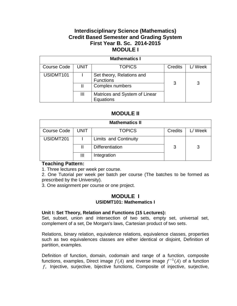## **Interdisciplinary Science (Mathematics) Credit Based Semester and Grading System First Year B. Sc. 2014-2015 MODULE I**

| <b>Mathematics I</b> |             |                                               |         |        |  |  |  |
|----------------------|-------------|-----------------------------------------------|---------|--------|--|--|--|
| <b>Course Code</b>   | <b>UNIT</b> | <b>TOPICS</b>                                 | Credits | L/Week |  |  |  |
| USIDMT101            |             | Set theory, Relations and<br><b>Functions</b> | 3       |        |  |  |  |
|                      |             | Complex numbers                               |         |        |  |  |  |
|                      | Ш           | Matrices and System of Linear<br>Equations    |         |        |  |  |  |

## **MODULE II**

| <b>Mathematics II</b> |             |                              |         |         |  |  |  |
|-----------------------|-------------|------------------------------|---------|---------|--|--|--|
| Course Code           | <b>UNIT</b> | <b>TOPICS</b>                | Credits | L/ Week |  |  |  |
| USIDMT201             |             | <b>Limits and Continuity</b> |         |         |  |  |  |
|                       |             | <b>Differentiation</b>       | 3       |         |  |  |  |
|                       | Ш           | Integration                  |         |         |  |  |  |

## **Teaching Pattern:**

1. Three lectures per week per course.

2. One Tutorial per week per batch per course (The batches to be formed as prescribed by the University).

3. One assignment per course or one project.

## **MODULE I USIDMT101: Mathematics I**

## **Unit I: Set Theory, Relation and Functions (15 Lectures):**

Set, subset, union and intersection of two sets, empty set, universal set, complement of a set, De Morgan's laws, Cartesian product of two sets.

Relations, binary relation, equivalence relations, equivalence classes, properties such as two equivalences classes are either identical or disjoint, Definition of partition, examples.

Definition of function, domain, codomain and range of a function, composite functions, examples, Direct image  $f(A)$  and inverse image  $f^{-1}(A)$  of a function , Injective, surjective, bijective functions, Composite of injective, surjective,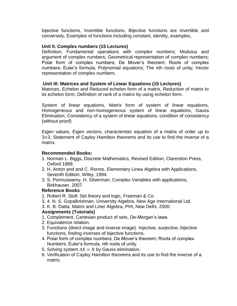bijective functions, Invertible functions, Bijective functions are invertible and conversely, Examples of functions including constant, identity, examples,

## **Unit II. Complex numbers (15 Lectures)**

Definition; Fundamental operations with complex numbers; Modulus and argument of complex numbers; Geometrical representation of complex numbers; Polar form of complex numbers; De Mover's theorem; Roots of complex numbers; Euler's formula; Polynomial equations; The nth roots of unity; Vector representation of complex numbers.

## .**Unit III: Matrices and System of Linear Equations (15 Lectures)**

Matrices, Echelon and Reduced echelon form of a matrix, Reduction of matrix to its echelon form, Definition of rank of a matrix by using echelon form.

System of linear equations, Matrix form of system of linear equations, Homogeneous and non-homogeneous system of linear equations, Gauss Elimination, Consistency of a system of linear equations, condition of consistency (without proof).

Eigen values, Eigen vectors, characteristic equation of a matrix of order up to 3×3, Statement of Cayley Hamilton theorems and its use to find the inverse of a matrix.

## **Recommended Books:**

- 1. Norman L. Biggs, Discrete Mathematics, Revised Edition, Clarendon Press, Oxford 1989.
- 2. H. Anton and and C. Rorres, Elementary Linea Algebra with Applications, Seventh Edition, Wiley, 1994.
- 3. S. Ponnuswamy, H. Silverman, Complex Variables with applications, Birkhauser, 2007.

## **Reference Books**

- 1. Robert R. Stoll: Set theory and logic, Freeman & Co.
- 3. 4. N. S. Gopalkrishnan, University Algebra, New Age International Ltd.
- 3. K. B. Datta, Matrix and Liner Algebra, PHI, New Delhi, 2000.

## **Assignments (Tutorials)**

- 1. Complement, Cartesian product of sets, De-Morgan's laws.
- 2. Equivalence relation.
- 3. Functions (direct image and inverse image). Injective, surjective, bijective functions, finding inverses of bijective functions.
- 4. Polar form of complex numbers; De Mover's theorem; Roots of complex Numbers; Euler's formula, nth roots of unity.
- 5. Solving system  $AX = B$  by Gauss elimination.
- 6. Verification of Cayley Hamilton theorems and its use to find the inverse of a matrix.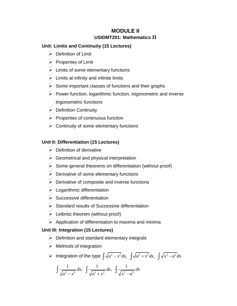## **MODULE II USIDMT201: Mathematics II**

## **Unit: Limits and Continuity (15 Lectures)**

- $\triangleright$  Definition of Limit
- $\triangleright$  Properties of Limit
- $\triangleright$  Limits of some elementary functions
- $\triangleright$  Limits at infinity and infinite limits
- $\triangleright$  Some important classes of functions and their graphs
- $\triangleright$  Power function, logarithmic function, trigonometric and inverse trigonometric functions
- $\triangleright$  Definition Continuity
- $\triangleright$  Properties of continuous function
- $\triangleright$  Continuity of some elementary functions

## **Unit II: Differentiation (15 Lectures)**

- $\triangleright$  Definition of derivative
- $\triangleright$  Geometrical and physical interpretation
- $\triangleright$  Some general theorems on differentiation (without proof)
- $\triangleright$  Derivative of some elementary functions
- $\triangleright$  Derivative of composite and inverse functions
- $\blacktriangleright$  Logarithmic differentiation
- $\triangleright$  Successive differentiation
- $\triangleright$  Standard results of Successive differentiation
- $\triangleright$  Leibnitz theorem (without proof)
- $\triangleright$  Application of differentiation to maxima and minima

## **Unit III: Integration (15 Lectures)**

- $\triangleright$  Definition and standard elementary integrals
- $\triangleright$  Methods of integration

► Methods of integration  
\n▶ Integration of the type 
$$
\int \sqrt{a^2 - x^2} dx
$$
,  $\int \sqrt{a^2 + x^2} dx$ ,  $\int \sqrt{x^2 - a^2} dx$ 

Integration of the type 
$$
\int \sqrt{a^2 - x^2} dx
$$
,  $\int \sqrt{a^2} dx$   
 $\int \frac{1}{\sqrt{a^2 - x^2}} dx$ ,  $\int \frac{1}{\sqrt{a^2 + x^2}} dx$ ,  $\int \frac{1}{\sqrt{x^2 - a^2}} dx$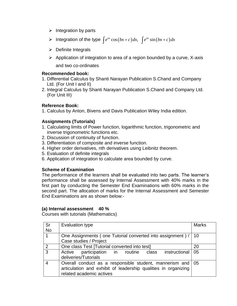- $\triangleright$  Integration by parts
- Integration by parts<br>
Integration of the type  $\int e^{ax} \cos(bx+c) dx$ ,  $\int e^{ax} \sin(bx+c) dx$
- $\triangleright$  Definite Integrals
- $\triangleright$  Application of integration to area of a region bounded by a curve, X-axis and two co-ordinates

## **Recommended book:**

- 1. Differential Calculus by Shanti Narayan Publication S.Chand and Company Ltd. (For Unit I and II)
- 2. Integral Calculus by Shanti Narayan Publication S.Chand and Company Ltd. (For Unit III)

## **Reference Book:**

1. Calculus by Anton, Bivens and Davis Publication Wiley India edition.

## **Assignments (Tutorials)**

- 1. Calculating limits of Power function, logarithmic function, trigonometric and inverse trigonometric functions etc.
- 2. Discussion of continuity of function.
- 3. Differentiation of composite and inverse function.
- 4. Higher order derivatives, nth derivatives using Leibnitz theorem.
- 5. Evaluation of definite integrals
- 6. Application of integration to calculate area bounded by curve.

## **Scheme of Examination**

The performance of the learners shall be evaluated into two parts. The learner's performance shall be assessed by Internal Assessment with 40% marks in the first part by conducting the Semester End Examinations with 60% marks in the second part. The allocation of marks for the Internal Assessment and Semester End Examinations are as shown below:-

## **(a) Internal assessment 40 %**

Courses with tutorials (Mathematics)

| Sr        | Evaluation type                                                | <b>Marks</b> |  |  |  |
|-----------|----------------------------------------------------------------|--------------|--|--|--|
| <b>No</b> |                                                                |              |  |  |  |
|           | One Assignments (one Tutorial converted into assignment) /     |              |  |  |  |
|           | Case studies / Project                                         |              |  |  |  |
| 2         | One class Test [Tutorial converted into test]                  | 20           |  |  |  |
| 3         | instructional   05<br>participation in routine class<br>Active |              |  |  |  |
|           | deliveries/Tutorials                                           |              |  |  |  |
|           | Overall conduct as a responsible student, mannerism and   05   |              |  |  |  |
|           | articulation and exhibit of leadership qualities in organizing |              |  |  |  |
|           | related academic actives                                       |              |  |  |  |